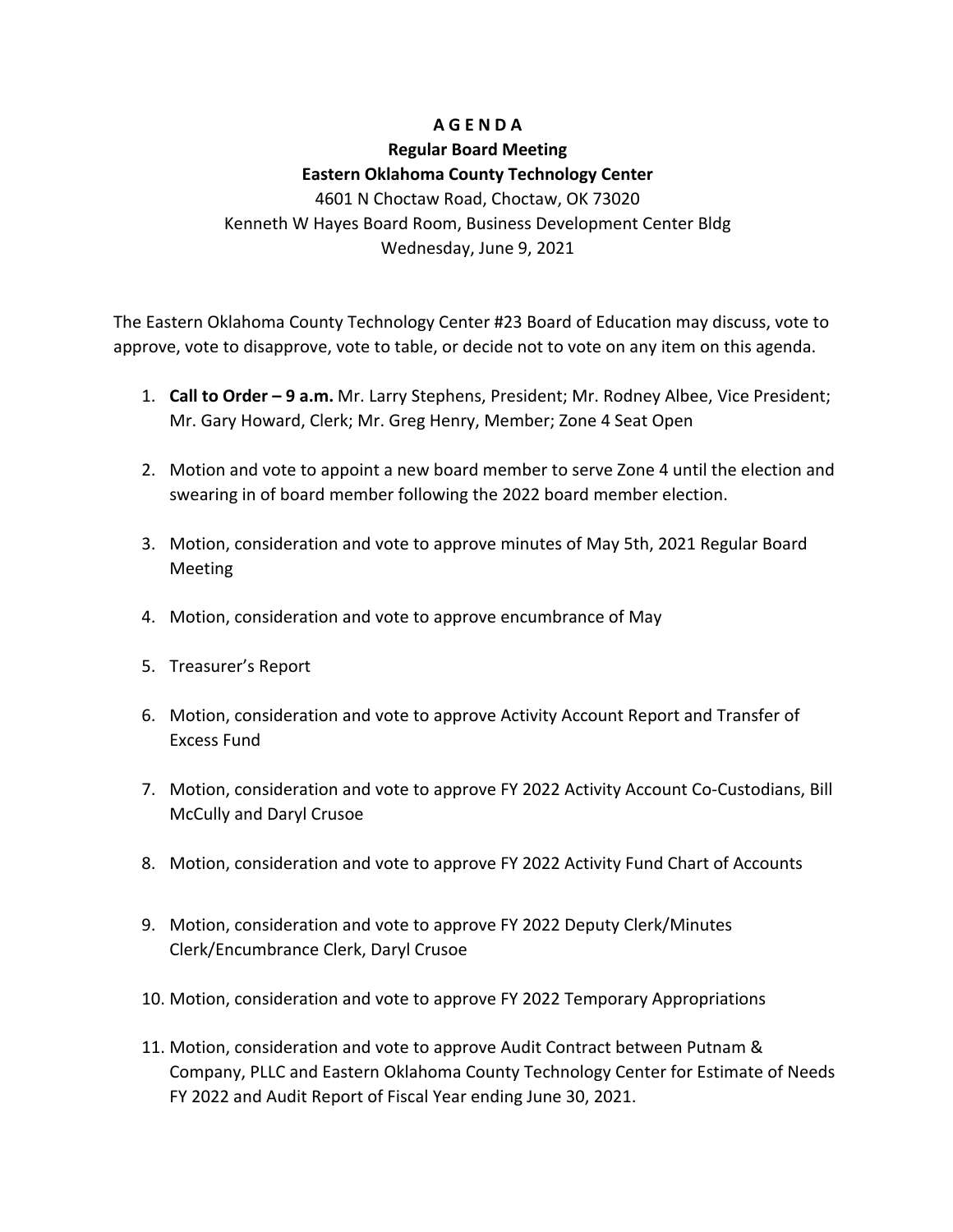## **A G E N D A**

# **Regular Board Meeting Eastern Oklahoma County Technology Center** 4601 N Choctaw Road, Choctaw, OK 73020 Kenneth W Hayes Board Room, Business Development Center Bldg

#### Wednesday, June 9, 2021

The Eastern Oklahoma County Technology Center #23 Board of Education may discuss, vote to approve, vote to disapprove, vote to table, or decide not to vote on any item on this agenda.

- 1. **Call to Order – 9 a.m.** Mr. Larry Stephens, President; Mr. Rodney Albee, Vice President; Mr. Gary Howard, Clerk; Mr. Greg Henry, Member; Zone 4 Seat Open
- 2. Motion and vote to appoint a new board member to serve Zone 4 until the election and swearing in of board member following the 2022 board member election.
- 3. Motion, consideration and vote to approve minutes of May 5th, 2021 Regular Board Meeting
- 4. Motion, consideration and vote to approve encumbrance of May
- 5. Treasurer's Report
- 6. Motion, consideration and vote to approve Activity Account Report and Transfer of Excess Fund
- 7. Motion, consideration and vote to approve FY 2022 Activity Account Co-Custodians, Bill McCully and Daryl Crusoe
- 8. Motion, consideration and vote to approve FY 2022 Activity Fund Chart of Accounts
- 9. Motion, consideration and vote to approve FY 2022 Deputy Clerk/Minutes Clerk/Encumbrance Clerk, Daryl Crusoe
- 10. Motion, consideration and vote to approve FY 2022 Temporary Appropriations
- 11. Motion, consideration and vote to approve Audit Contract between Putnam & Company, PLLC and Eastern Oklahoma County Technology Center for Estimate of Needs FY 2022 and Audit Report of Fiscal Year ending June 30, 2021.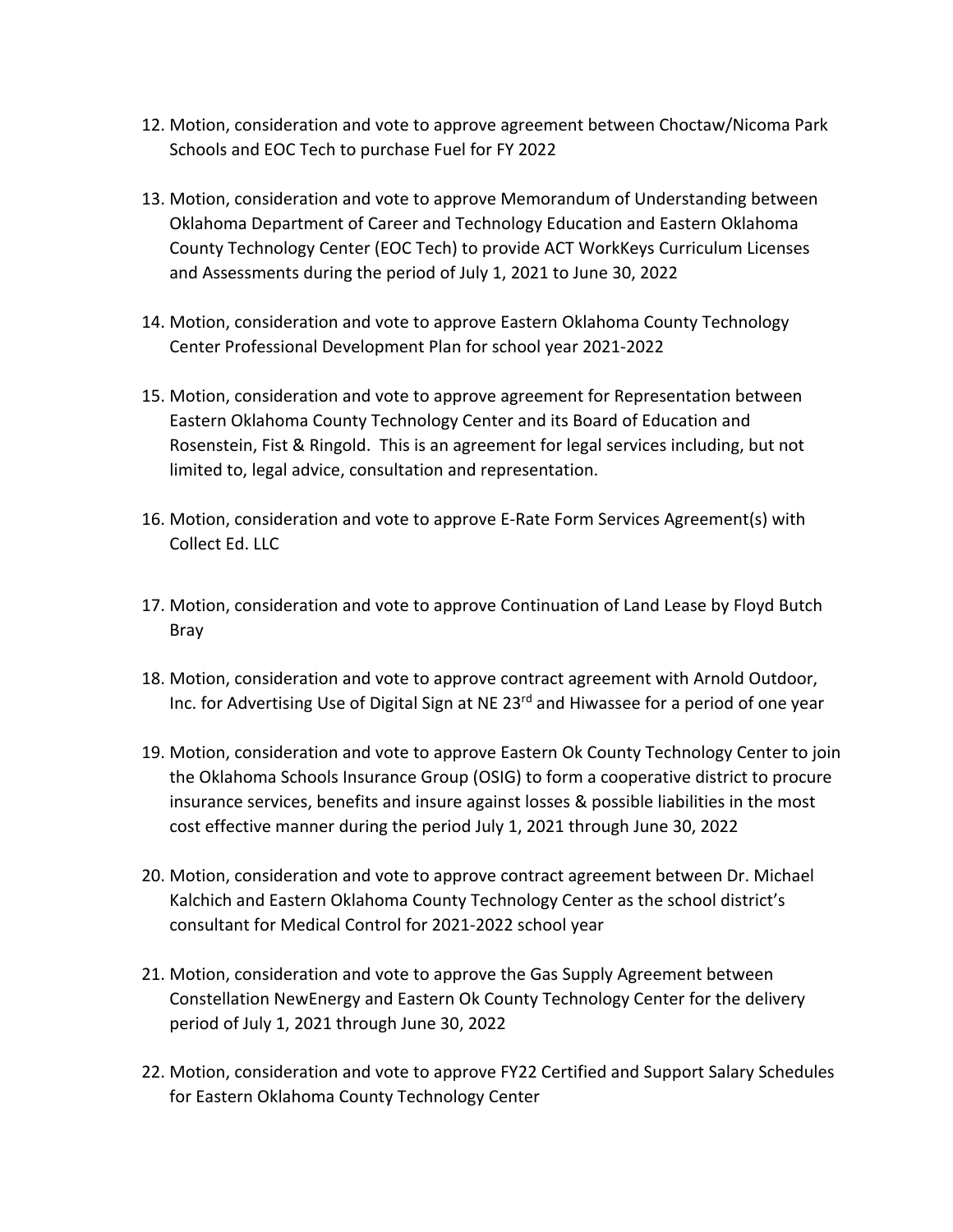- 12. Motion, consideration and vote to approve agreement between Choctaw/Nicoma Park Schools and EOC Tech to purchase Fuel for FY 2022
- 13. Motion, consideration and vote to approve Memorandum of Understanding between Oklahoma Department of Career and Technology Education and Eastern Oklahoma County Technology Center (EOC Tech) to provide ACT WorkKeys Curriculum Licenses and Assessments during the period of July 1, 2021 to June 30, 2022
- 14. Motion, consideration and vote to approve Eastern Oklahoma County Technology Center Professional Development Plan for school year 2021-2022
- 15. Motion, consideration and vote to approve agreement for Representation between Eastern Oklahoma County Technology Center and its Board of Education and Rosenstein, Fist & Ringold. This is an agreement for legal services including, but not limited to, legal advice, consultation and representation.
- 16. Motion, consideration and vote to approve E-Rate Form Services Agreement(s) with Collect Ed. LLC
- 17. Motion, consideration and vote to approve Continuation of Land Lease by Floyd Butch Bray
- 18. Motion, consideration and vote to approve contract agreement with Arnold Outdoor, Inc. for Advertising Use of Digital Sign at NE 23<sup>rd</sup> and Hiwassee for a period of one year
- 19. Motion, consideration and vote to approve Eastern Ok County Technology Center to join the Oklahoma Schools Insurance Group (OSIG) to form a cooperative district to procure insurance services, benefits and insure against losses & possible liabilities in the most cost effective manner during the period July 1, 2021 through June 30, 2022
- 20. Motion, consideration and vote to approve contract agreement between Dr. Michael Kalchich and Eastern Oklahoma County Technology Center as the school district's consultant for Medical Control for 2021-2022 school year
- 21. Motion, consideration and vote to approve the Gas Supply Agreement between Constellation NewEnergy and Eastern Ok County Technology Center for the delivery period of July 1, 2021 through June 30, 2022
- 22. Motion, consideration and vote to approve FY22 Certified and Support Salary Schedules for Eastern Oklahoma County Technology Center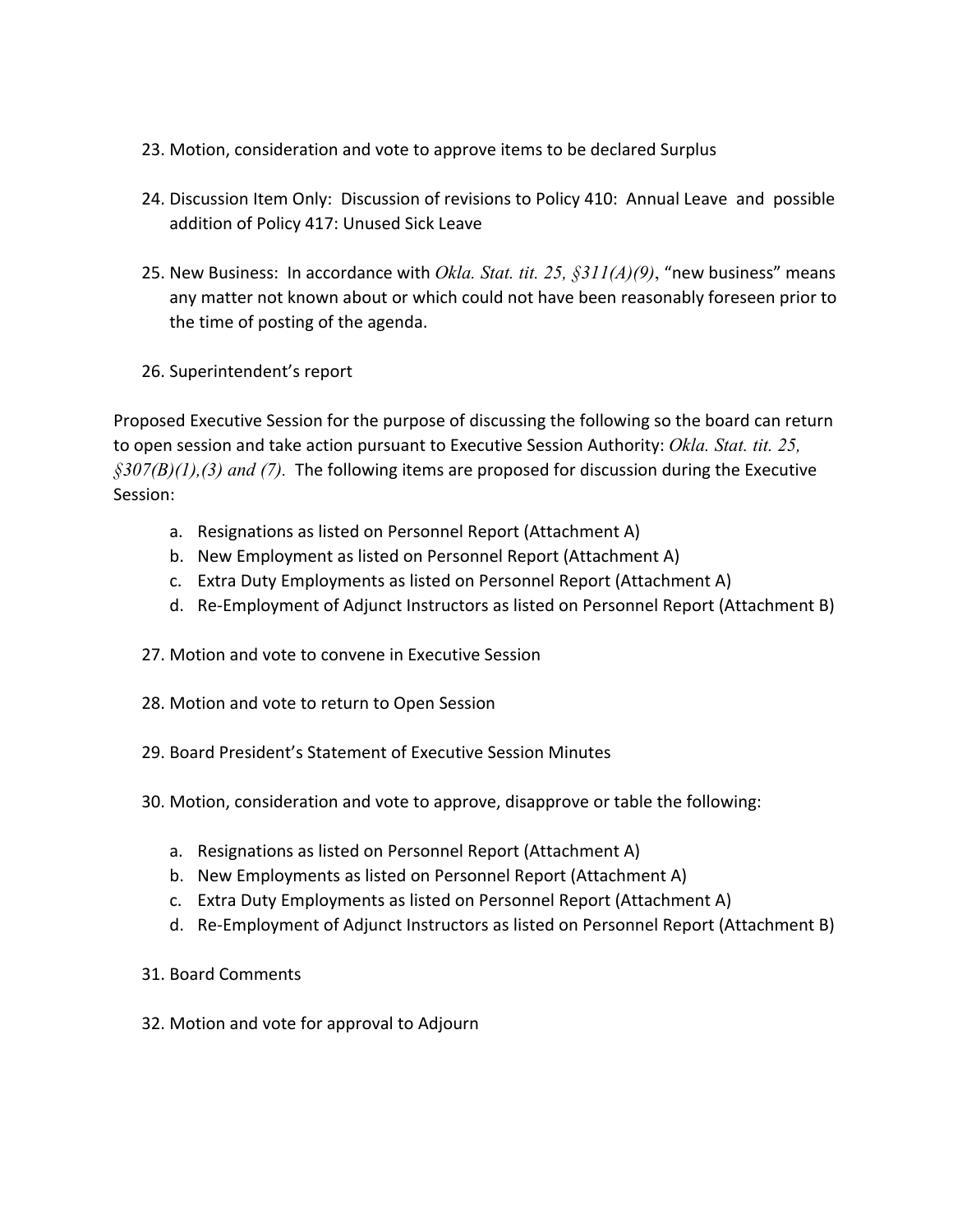- 23. Motion, consideration and vote to approve items to be declared Surplus
- 24. Discussion Item Only: Discussion of revisions to Policy 410: Annual Leave and possible addition of Policy 417: Unused Sick Leave
- 25. New Business: In accordance with *Okla. Stat. tit. 25, §311(A)(9)*, "new business" means any matter not known about or which could not have been reasonably foreseen prior to the time of posting of the agenda.
- 26. Superintendent's report

Proposed Executive Session for the purpose of discussing the following so the board can return to open session and take action pursuant to Executive Session Authority: *Okla. Stat. tit. 25, §307(B)(1),(3) and (7).* The following items are proposed for discussion during the Executive Session:

- a. Resignations as listed on Personnel Report (Attachment A)
- b. New Employment as listed on Personnel Report (Attachment A)
- c. Extra Duty Employments as listed on Personnel Report (Attachment A)
- d. Re-Employment of Adjunct Instructors as listed on Personnel Report (Attachment B)
- 27. Motion and vote to convene in Executive Session
- 28. Motion and vote to return to Open Session
- 29. Board President's Statement of Executive Session Minutes
- 30. Motion, consideration and vote to approve, disapprove or table the following:
	- a. Resignations as listed on Personnel Report (Attachment A)
	- b. New Employments as listed on Personnel Report (Attachment A)
	- c. Extra Duty Employments as listed on Personnel Report (Attachment A)
	- d. Re-Employment of Adjunct Instructors as listed on Personnel Report (Attachment B)
- 31. Board Comments
- 32. Motion and vote for approval to Adjourn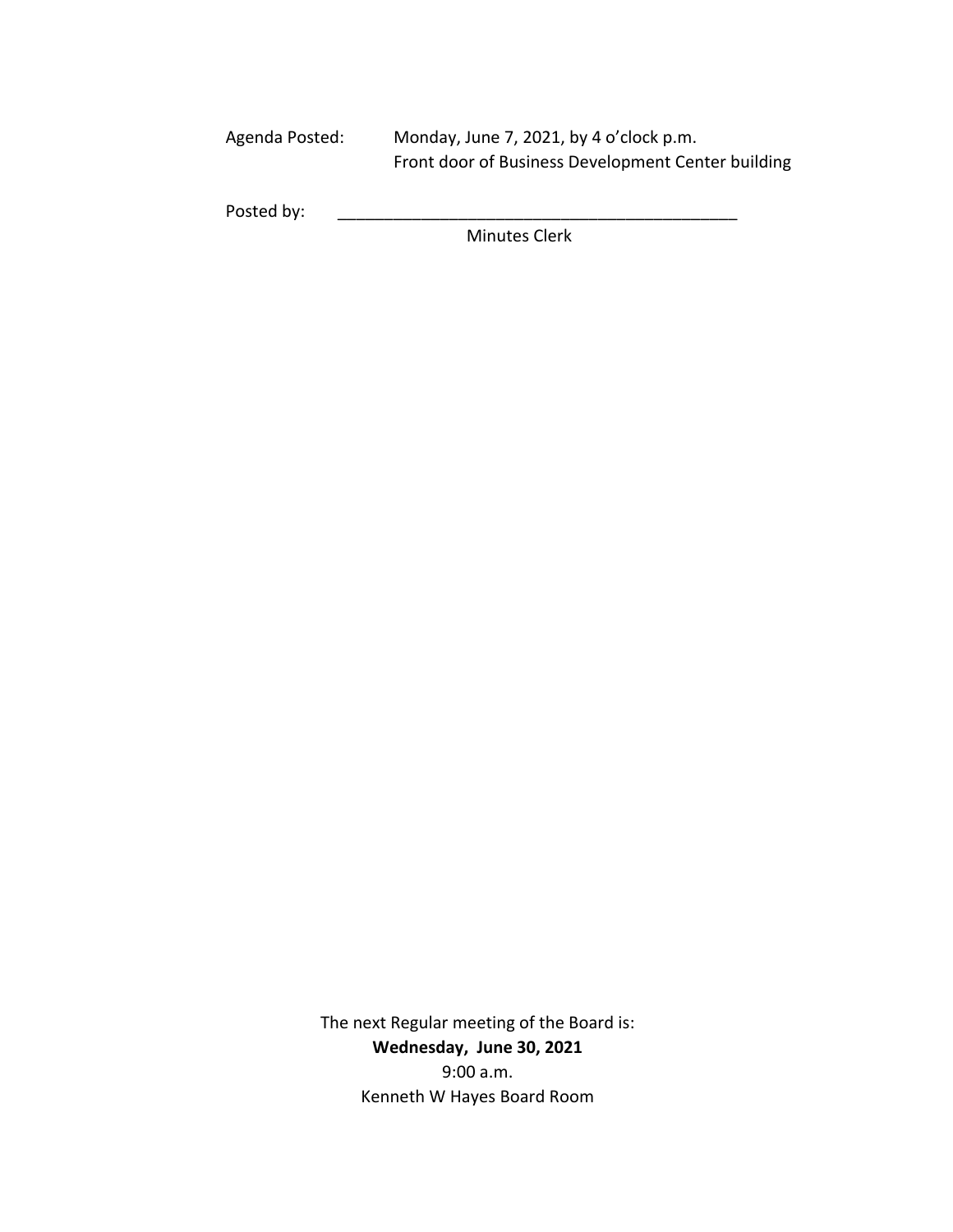Agenda Posted: Monday, June 7, 2021, by 4 o'clock p.m. Front door of Business Development Center building

Posted by:

Minutes Clerk

The next Regular meeting of the Board is: **Wednesday, June 30, 2021** 9:00 a.m. Kenneth W Hayes Board Room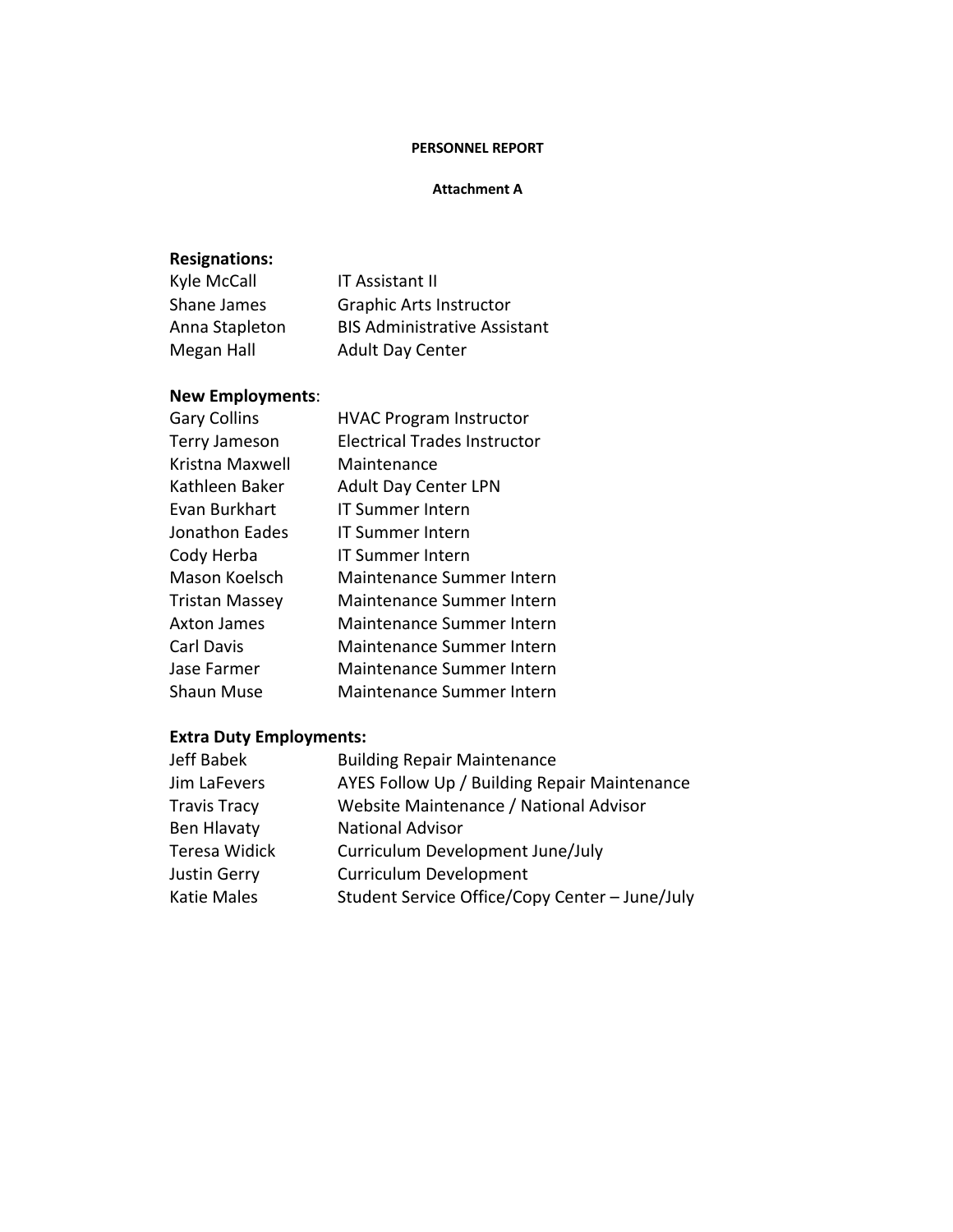### **PERSONNEL REPORT**

#### **Attachment A**

## **Resignations:**

| Kyle McCall    | <b>IT Assistant II</b>              |
|----------------|-------------------------------------|
| Shane James    | <b>Graphic Arts Instructor</b>      |
| Anna Stapleton | <b>BIS Administrative Assistant</b> |
| Megan Hall     | <b>Adult Day Center</b>             |

## **New Employments**:

| <b>Gary Collins</b>   | <b>HVAC Program Instructor</b> |
|-----------------------|--------------------------------|
| <b>Terry Jameson</b>  | Electrical Trades Instructor   |
| Kristna Maxwell       | Maintenance                    |
| Kathleen Baker        | <b>Adult Day Center LPN</b>    |
| Evan Burkhart         | <b>IT Summer Intern</b>        |
| Jonathon Eades        | <b>IT Summer Intern</b>        |
| Cody Herba            | <b>IT Summer Intern</b>        |
| Mason Koelsch         | Maintenance Summer Intern      |
| <b>Tristan Massey</b> | Maintenance Summer Intern      |
| Axton James           | Maintenance Summer Intern      |
| Carl Davis            | Maintenance Summer Intern      |
| Jase Farmer           | Maintenance Summer Intern      |
| Shaun Muse            | Maintenance Summer Intern      |

## **Extra Duty Employments:**

| <b>Building Repair Maintenance</b>             |
|------------------------------------------------|
| AYES Follow Up / Building Repair Maintenance   |
| Website Maintenance / National Advisor         |
| <b>National Advisor</b>                        |
| Curriculum Development June/July               |
| <b>Curriculum Development</b>                  |
| Student Service Office/Copy Center - June/July |
|                                                |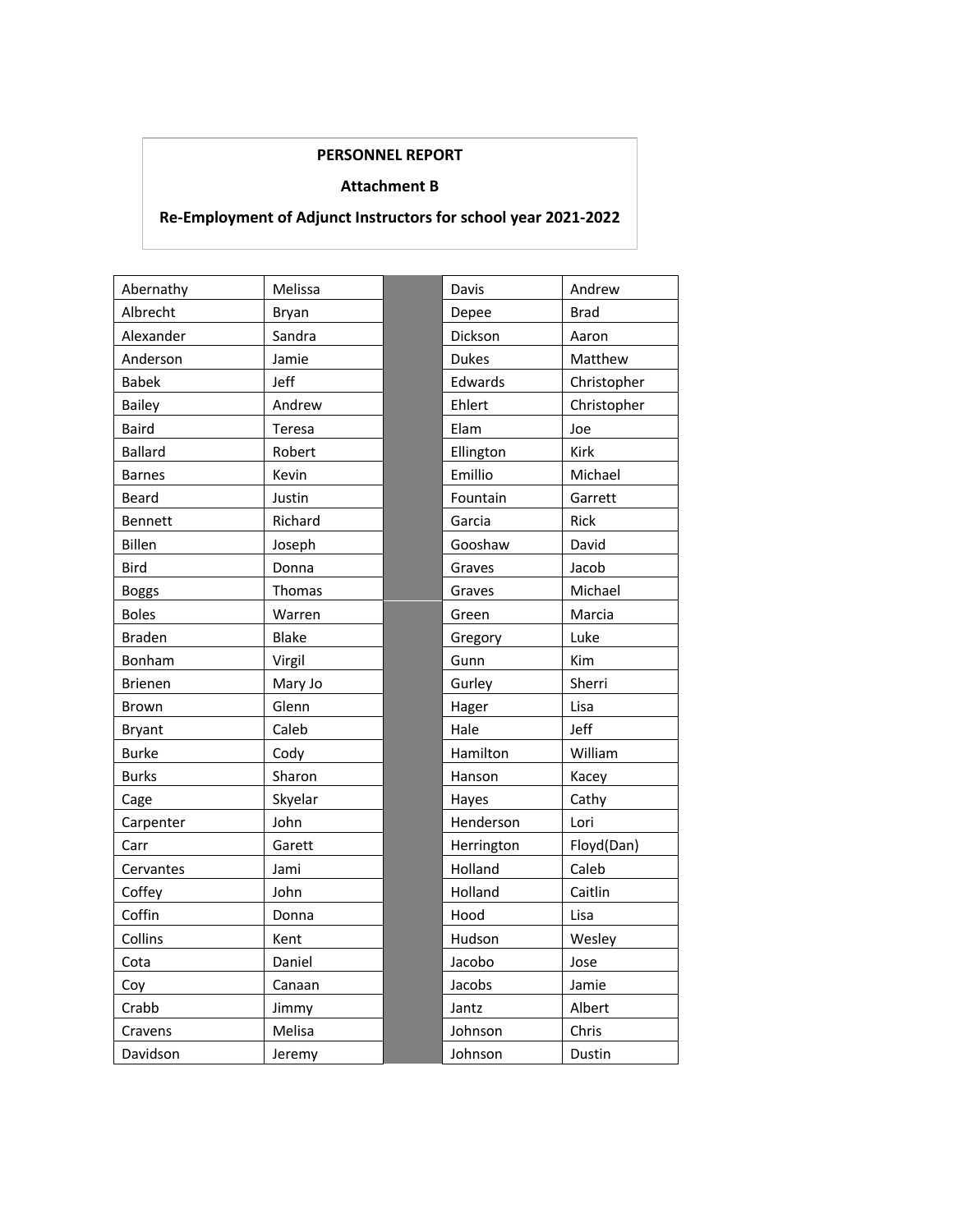## **PERSONNEL REPORT**

#### **Attachment B**

## **Re-Employment of Adjunct Instructors for school year 2021-2022**

| Abernathy      | Melissa      | Davis        | Andrew      |
|----------------|--------------|--------------|-------------|
| Albrecht       | Bryan        | Depee        | Brad        |
| Alexander      | Sandra       | Dickson      | Aaron       |
| Anderson       | Jamie        | <b>Dukes</b> | Matthew     |
| <b>Babek</b>   | Jeff         | Edwards      | Christopher |
| Bailey         | Andrew       | Ehlert       | Christopher |
| <b>Baird</b>   | Teresa       | Elam         | Joe         |
| <b>Ballard</b> | Robert       | Ellington    | <b>Kirk</b> |
| <b>Barnes</b>  | Kevin        | Emillio      | Michael     |
| <b>Beard</b>   | Justin       | Fountain     | Garrett     |
| Bennett        | Richard      | Garcia       | <b>Rick</b> |
| Billen         | Joseph       | Gooshaw      | David       |
| <b>Bird</b>    | Donna        | Graves       | Jacob       |
| <b>Boggs</b>   | Thomas       | Graves       | Michael     |
| <b>Boles</b>   | Warren       | Green        | Marcia      |
| <b>Braden</b>  | <b>Blake</b> | Gregory      | Luke        |
| Bonham         | Virgil       | Gunn         | Kim         |
| <b>Brienen</b> | Mary Jo      | Gurley       | Sherri      |
| <b>Brown</b>   | Glenn        | Hager        | Lisa        |
| <b>Bryant</b>  | Caleb        | Hale         | Jeff        |
| <b>Burke</b>   | Cody         | Hamilton     | William     |
| <b>Burks</b>   | Sharon       | Hanson       | Kacey       |
| Cage           | Skyelar      | Hayes        | Cathy       |
| Carpenter      | John         | Henderson    | Lori        |
| Carr           | Garett       | Herrington   | Floyd(Dan)  |
| Cervantes      | Jami         | Holland      | Caleb       |
| Coffey         | John         | Holland      | Caitlin     |
| Coffin         | Donna        | Hood         | Lisa        |
| Collins        | Kent         | Hudson       | Wesley      |
| Cota           | Daniel       | Jacobo       | Jose        |
| Coy            | Canaan       | Jacobs       | Jamie       |
| Crabb          | Jimmy        | Jantz        | Albert      |
| Cravens        | Melisa       | Johnson      | Chris       |
| Davidson       | Jeremy       | Johnson      | Dustin      |

| Davis        | Andrew      |  |
|--------------|-------------|--|
| Depee        | <b>Brad</b> |  |
| Dickson      | Aaron       |  |
| <b>Dukes</b> | Matthew     |  |
| Edwards      | Christopher |  |
| Ehlert       | Christopher |  |
| Elam         | Joe         |  |
| Ellington    | Kirk        |  |
| Emillio      | Michael     |  |
| Fountain     | Garrett     |  |
| Garcia       | <b>Rick</b> |  |
| Gooshaw      | David       |  |
| Graves       | Jacob       |  |
| Graves       | Michael     |  |
| Green        | Marcia      |  |
| Gregory      | Luke        |  |
| Gunn         | Kim         |  |
| Gurley       | Sherri      |  |
| Hager        | Lisa        |  |
| Hale         | Jeff        |  |
| Hamilton     | William     |  |
| Hanson       | Kacey       |  |
| Hayes        | Cathy       |  |
| Henderson    | Lori        |  |
| Herrington   | Floyd(Dan)  |  |
| Holland      | Caleb       |  |
| Holland      | Caitlin     |  |
| Hood         | Lisa        |  |
| Hudson       | Wesley      |  |
| Jacobo       | Jose        |  |
| Jacobs       | Jamie       |  |
| Jantz        | Albert      |  |
| Johnson      | Chris       |  |
| Johnson      | Dustin      |  |